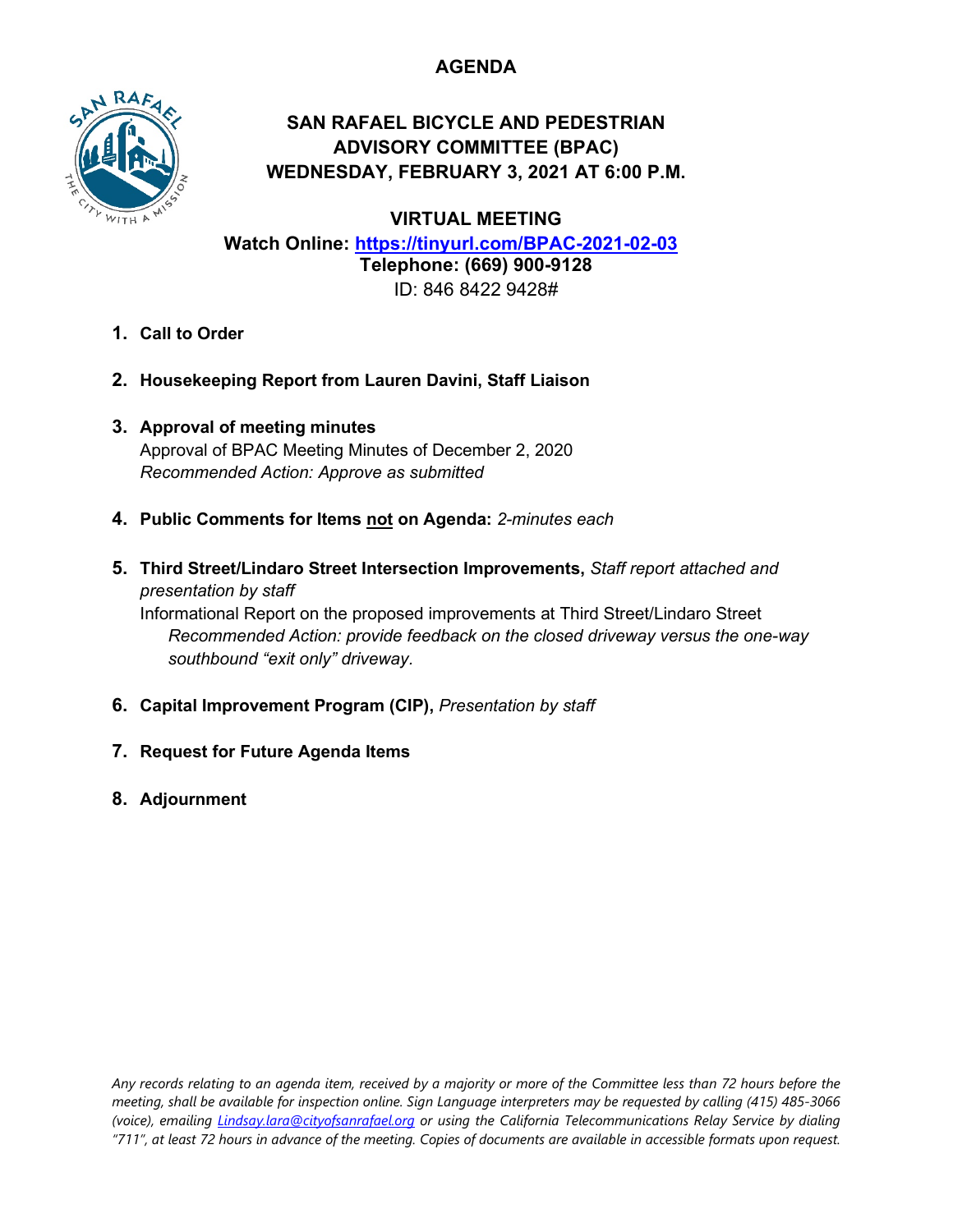# **AGENDA**



# **SAN RAFAEL BICYCLE AND PEDESTRIAN ADVISORY COMMITTEE (BPAC) WEDNESDAY, FEBRUARY 3, 2021 AT 6:00 P.M.**

**VIRTUAL MEETING**

**Watch Online: <https://tinyurl.com/BPAC-2021-02-03> Telephone: (669) 900-9128** ID: 846 8422 9428#

- **1. Call to Order**
- **2. Housekeeping Report from Lauren Davini, Staff Liaison**
- **3. Approval of meeting minutes** Approval of BPAC Meeting Minutes of December 2, 2020 *Recommended Action: Approve as submitted*
- **4. Public Comments for Items not on Agenda:** *2-minutes each*
- **5. Third Street/Lindaro Street Intersection Improvements,** *Staff report attached and presentation by staff*

Informational Report on the proposed improvements at Third Street/Lindaro Street *Recommended Action: provide feedback on the closed driveway versus the one-way southbound "exit only" driveway.*

- **6. Capital Improvement Program (CIP),** *Presentation by staff*
- **7. Request for Future Agenda Items**
- **8. Adjournment**

*Any records relating to an agenda item, received by a majority or more of the Committee less than 72 hours before the meeting, shall be available for inspection online. Sign Language interpreters may be requested by calling (415) 485-3066 (voice), emailing [Lindsay.lara@cityofsanrafael.org](mailto:Lindsay.lara@cityofsanrafael.org) or using the California Telecommunications Relay Service by dialing "711", at least 72 hours in advance of the meeting. Copies of documents are available in accessible formats upon request.*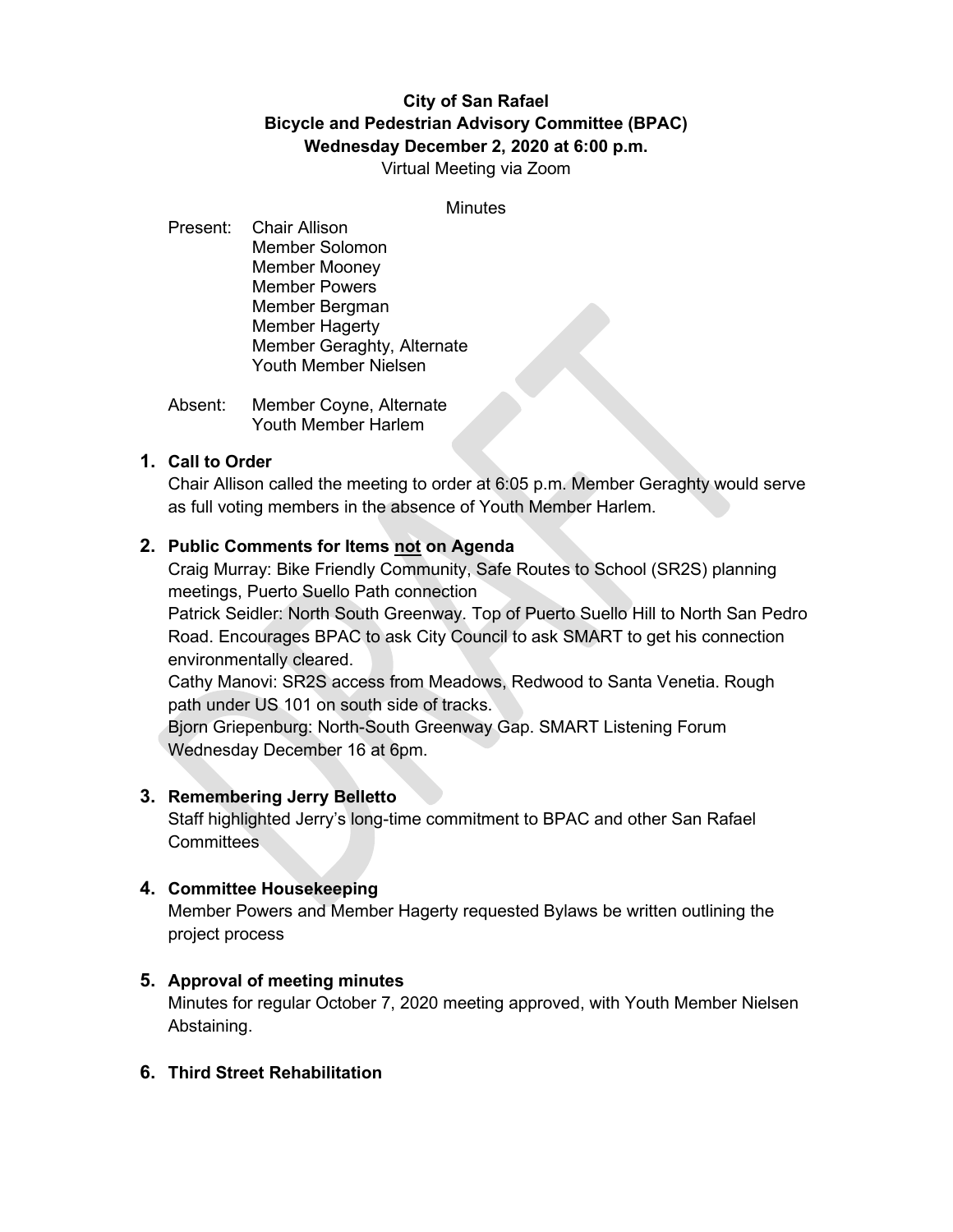# **City of San Rafael Bicycle and Pedestrian Advisory Committee (BPAC) Wednesday December 2, 2020 at 6:00 p.m.**

Virtual Meeting via Zoom

**Minutes** 

- Present: Chair Allison Member Solomon Member Mooney Member Powers Member Bergman Member Hagerty Member Geraghty, Alternate Youth Member Nielsen
- Absent: Member Coyne, Alternate Youth Member Harlem

#### **1. Call to Order**

Chair Allison called the meeting to order at 6:05 p.m. Member Geraghty would serve as full voting members in the absence of Youth Member Harlem.

#### **2. Public Comments for Items not on Agenda**

Craig Murray: Bike Friendly Community, Safe Routes to School (SR2S) planning meetings, Puerto Suello Path connection

Patrick Seidler: North South Greenway. Top of Puerto Suello Hill to North San Pedro Road. Encourages BPAC to ask City Council to ask SMART to get his connection environmentally cleared.

Cathy Manovi: SR2S access from Meadows, Redwood to Santa Venetia. Rough path under US 101 on south side of tracks.

Bjorn Griepenburg: North-South Greenway Gap. SMART Listening Forum Wednesday December 16 at 6pm.

#### **3. Remembering Jerry Belletto**

Staff highlighted Jerry's long-time commitment to BPAC and other San Rafael **Committees** 

#### **4. Committee Housekeeping**

Member Powers and Member Hagerty requested Bylaws be written outlining the project process

#### **5. Approval of meeting minutes**

Minutes for regular October 7, 2020 meeting approved, with Youth Member Nielsen Abstaining.

## **6. Third Street Rehabilitation**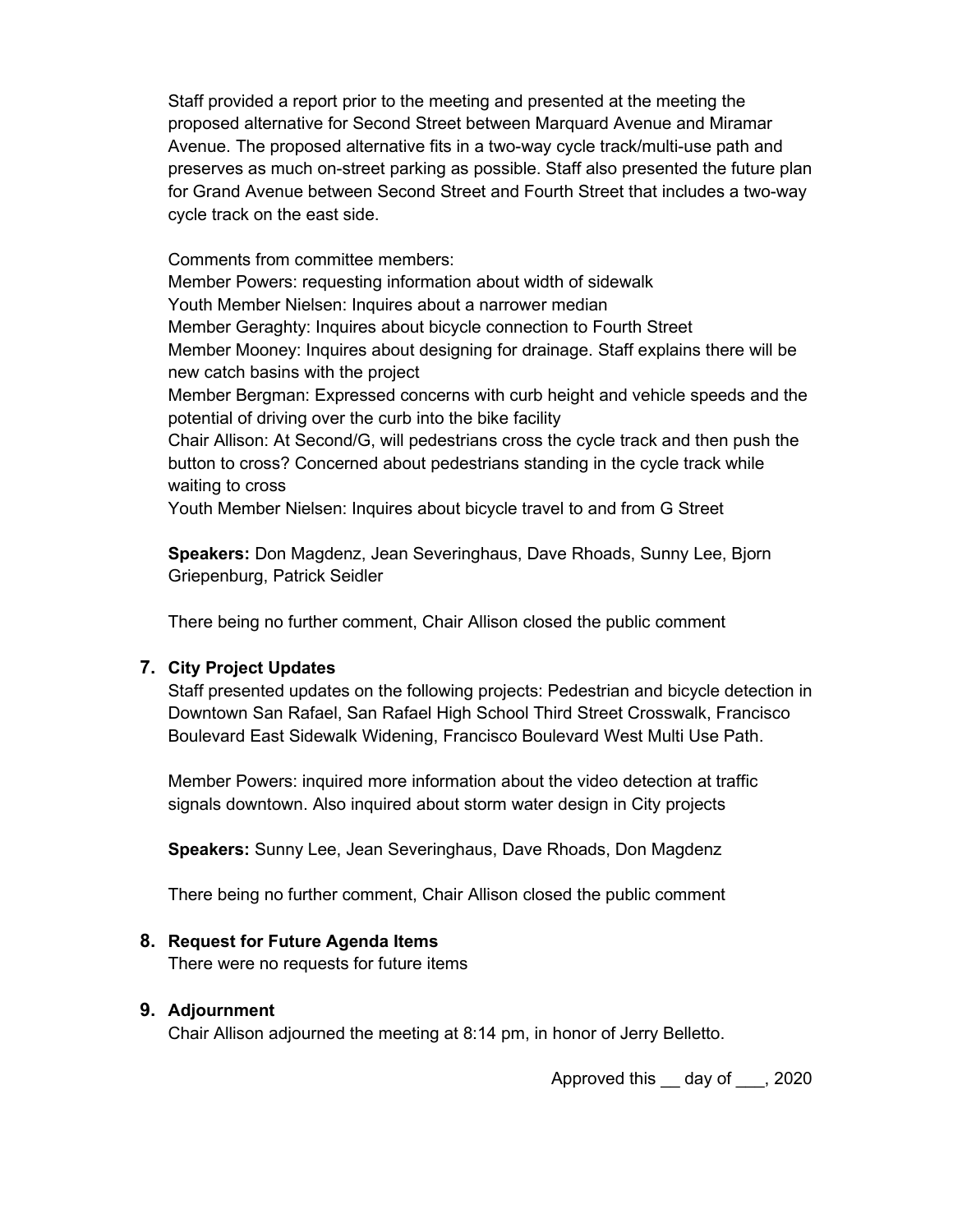Staff provided a report prior to the meeting and presented at the meeting the proposed alternative for Second Street between Marquard Avenue and Miramar Avenue. The proposed alternative fits in a two-way cycle track/multi-use path and preserves as much on-street parking as possible. Staff also presented the future plan for Grand Avenue between Second Street and Fourth Street that includes a two-way cycle track on the east side.

Comments from committee members:

Member Powers: requesting information about width of sidewalk

Youth Member Nielsen: Inquires about a narrower median

Member Geraghty: Inquires about bicycle connection to Fourth Street Member Mooney: Inquires about designing for drainage. Staff explains there will be new catch basins with the project

Member Bergman: Expressed concerns with curb height and vehicle speeds and the potential of driving over the curb into the bike facility

Chair Allison: At Second/G, will pedestrians cross the cycle track and then push the button to cross? Concerned about pedestrians standing in the cycle track while waiting to cross

Youth Member Nielsen: Inquires about bicycle travel to and from G Street

**Speakers:** Don Magdenz, Jean Severinghaus, Dave Rhoads, Sunny Lee, Bjorn Griepenburg, Patrick Seidler

There being no further comment, Chair Allison closed the public comment

## **7. City Project Updates**

Staff presented updates on the following projects: Pedestrian and bicycle detection in Downtown San Rafael, San Rafael High School Third Street Crosswalk, Francisco Boulevard East Sidewalk Widening, Francisco Boulevard West Multi Use Path.

Member Powers: inquired more information about the video detection at traffic signals downtown. Also inquired about storm water design in City projects

**Speakers:** Sunny Lee, Jean Severinghaus, Dave Rhoads, Don Magdenz

There being no further comment, Chair Allison closed the public comment

## **8. Request for Future Agenda Items**

There were no requests for future items

## **9. Adjournment**

Chair Allison adjourned the meeting at 8:14 pm, in honor of Jerry Belletto.

Approved this day of , 2020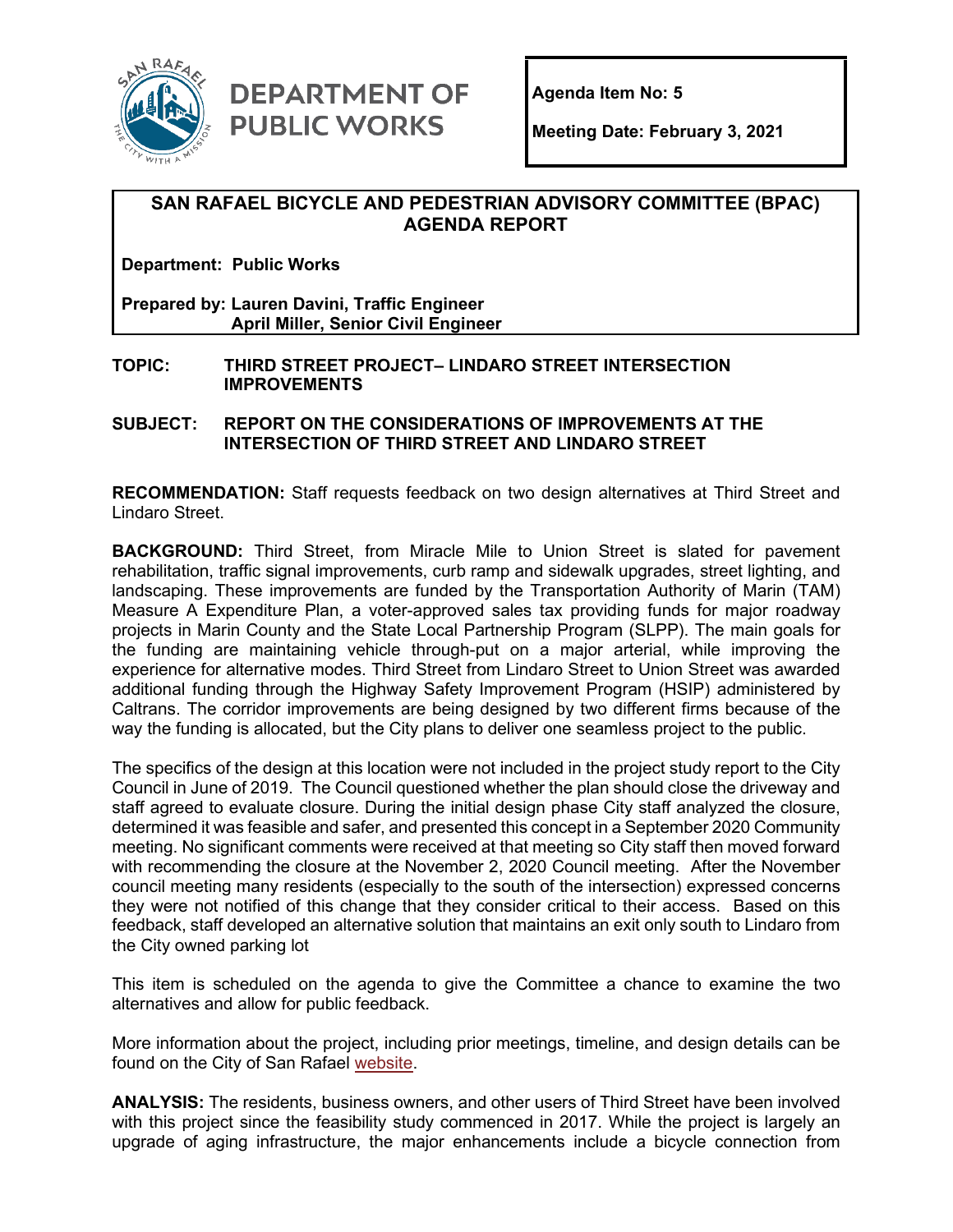

**DEPARTMENT OF PUBLIC WORKS** 

**Meeting Date: February 3, 2021**

## **SAN RAFAEL BICYCLE AND PEDESTRIAN ADVISORY COMMITTEE (BPAC) AGENDA REPORT**

**Department: Public Works**

**Prepared by: Lauren Davini, Traffic Engineer April Miller, Senior Civil Engineer**

**TOPIC: THIRD STREET PROJECT– LINDARO STREET INTERSECTION IMPROVEMENTS**

**SUBJECT: REPORT ON THE CONSIDERATIONS OF IMPROVEMENTS AT THE INTERSECTION OF THIRD STREET AND LINDARO STREET** 

**RECOMMENDATION:** Staff requests feedback on two design alternatives at Third Street and Lindaro Street.

**BACKGROUND:** Third Street, from Miracle Mile to Union Street is slated for pavement rehabilitation, traffic signal improvements, curb ramp and sidewalk upgrades, street lighting, and landscaping. These improvements are funded by the Transportation Authority of Marin (TAM) Measure A Expenditure Plan, a voter-approved sales tax providing funds for major roadway projects in Marin County and the State Local Partnership Program (SLPP). The main goals for the funding are maintaining vehicle through-put on a major arterial, while improving the experience for alternative modes. Third Street from Lindaro Street to Union Street was awarded additional funding through the Highway Safety Improvement Program (HSIP) administered by Caltrans. The corridor improvements are being designed by two different firms because of the way the funding is allocated, but the City plans to deliver one seamless project to the public.

The specifics of the design at this location were not included in the project study report to the City Council in June of 2019. The Council questioned whether the plan should close the driveway and staff agreed to evaluate closure. During the initial design phase City staff analyzed the closure, determined it was feasible and safer, and presented this concept in a September 2020 Community meeting. No significant comments were received at that meeting so City staff then moved forward with recommending the closure at the November 2, 2020 Council meeting. After the November council meeting many residents (especially to the south of the intersection) expressed concerns they were not notified of this change that they consider critical to their access. Based on this feedback, staff developed an alternative solution that maintains an exit only south to Lindaro from the City owned parking lot

This item is scheduled on the agenda to give the Committee a chance to examine the two alternatives and allow for public feedback.

More information about the project, including prior meetings, timeline, and design details can be found on the City of San Rafael [website.](https://www.cityofsanrafael.org/third-st-rehab/)

**ANALYSIS:** The residents, business owners, and other users of Third Street have been involved with this project since the feasibility study commenced in 2017. While the project is largely an upgrade of aging infrastructure, the major enhancements include a bicycle connection from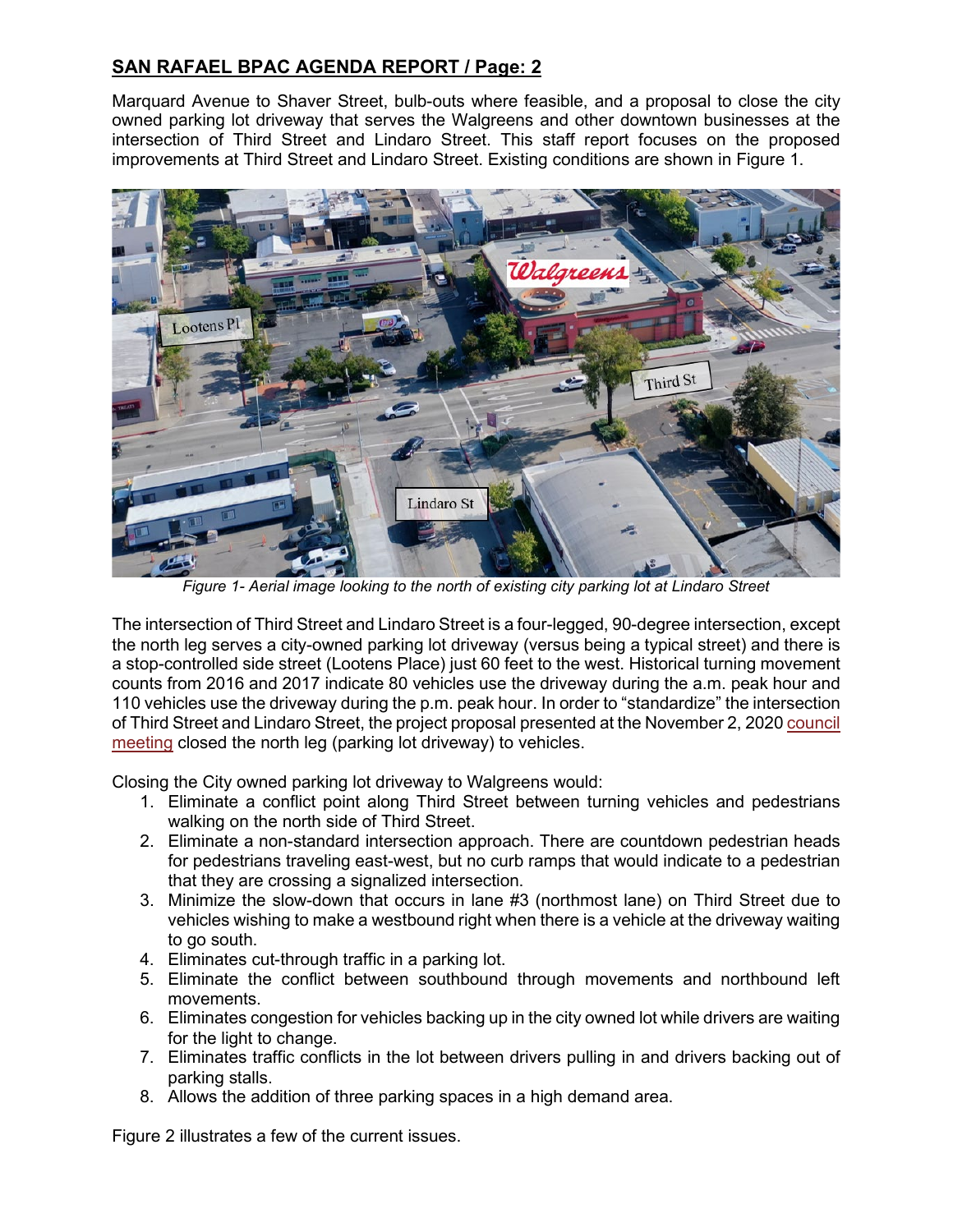# **SAN RAFAEL BPAC AGENDA REPORT / Page: 2**

Marquard Avenue to Shaver Street, bulb-outs where feasible, and a proposal to close the city owned parking lot driveway that serves the Walgreens and other downtown businesses at the intersection of Third Street and Lindaro Street. This staff report focuses on the proposed improvements at Third Street and Lindaro Street. Existing conditions are shown in Figure 1.



*Figure 1- Aerial image looking to the north of existing city parking lot at Lindaro Street*

The intersection of Third Street and Lindaro Street is a four-legged, 90-degree intersection, except the north leg serves a city-owned parking lot driveway (versus being a typical street) and there is a stop-controlled side street (Lootens Place) just 60 feet to the west. Historical turning movement counts from 2016 and 2017 indicate 80 vehicles use the driveway during the a.m. peak hour and 110 vehicles use the driveway during the p.m. peak hour. In order to "standardize" the intersection of Third Street and Lindaro Street, the project proposal presented at the November 2, 2020 [council](https://www.youtube.com/watch?t=14301&v=VRSt6r_pRQc&feature=youtu.be)  [meeting](https://www.youtube.com/watch?t=14301&v=VRSt6r_pRQc&feature=youtu.be) closed the north leg (parking lot driveway) to vehicles.

Closing the City owned parking lot driveway to Walgreens would:

- 1. Eliminate a conflict point along Third Street between turning vehicles and pedestrians walking on the north side of Third Street.
- 2. Eliminate a non-standard intersection approach. There are countdown pedestrian heads for pedestrians traveling east-west, but no curb ramps that would indicate to a pedestrian that they are crossing a signalized intersection.
- 3. Minimize the slow-down that occurs in lane #3 (northmost lane) on Third Street due to vehicles wishing to make a westbound right when there is a vehicle at the driveway waiting to go south.
- 4. Eliminates cut-through traffic in a parking lot.
- 5. Eliminate the conflict between southbound through movements and northbound left movements.
- 6. Eliminates congestion for vehicles backing up in the city owned lot while drivers are waiting for the light to change.
- 7. Eliminates traffic conflicts in the lot between drivers pulling in and drivers backing out of parking stalls.
- 8. Allows the addition of three parking spaces in a high demand area.

Figure 2 illustrates a few of the current issues.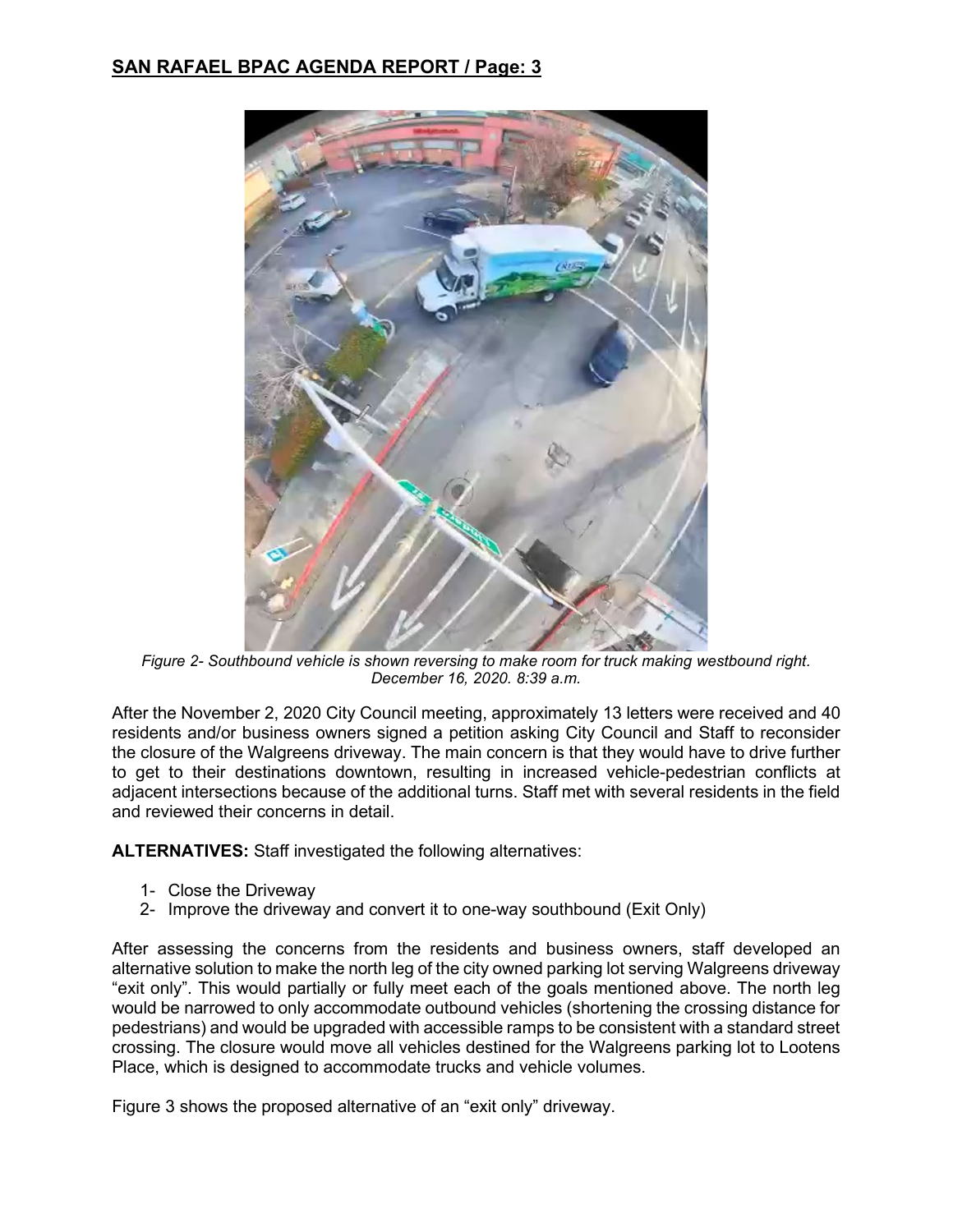

*Figure 2- Southbound vehicle is shown reversing to make room for truck making westbound right. December 16, 2020. 8:39 a.m.*

After the November 2, 2020 City Council meeting, approximately 13 letters were received and 40 residents and/or business owners signed a petition asking City Council and Staff to reconsider the closure of the Walgreens driveway. The main concern is that they would have to drive further to get to their destinations downtown, resulting in increased vehicle-pedestrian conflicts at adjacent intersections because of the additional turns. Staff met with several residents in the field and reviewed their concerns in detail.

**ALTERNATIVES:** Staff investigated the following alternatives:

- 1- Close the Driveway
- 2- Improve the driveway and convert it to one-way southbound (Exit Only)

After assessing the concerns from the residents and business owners, staff developed an alternative solution to make the north leg of the city owned parking lot serving Walgreens driveway "exit only". This would partially or fully meet each of the goals mentioned above. The north leg would be narrowed to only accommodate outbound vehicles (shortening the crossing distance for pedestrians) and would be upgraded with accessible ramps to be consistent with a standard street crossing. The closure would move all vehicles destined for the Walgreens parking lot to Lootens Place, which is designed to accommodate trucks and vehicle volumes.

Figure 3 shows the proposed alternative of an "exit only" driveway.